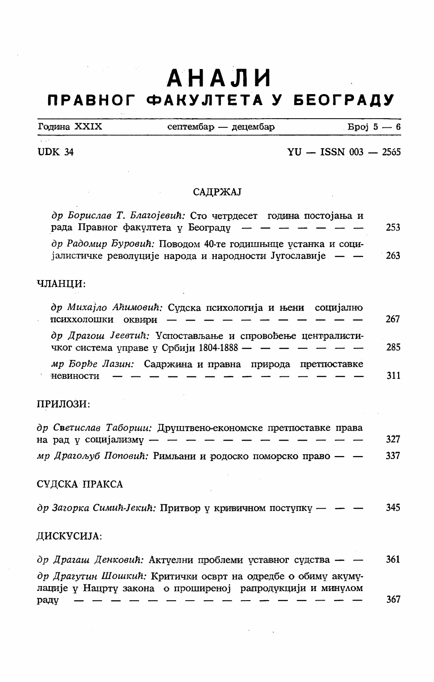# $\mathcal{A}=\{x_1,\ldots,x_n\}$  , where  $\mathcal{A}$ АНАЛИ ПРАВНОГ ФАКУЛТЕТА У БЕОГРАДУ

| Година XXIX | септембар — децембар | $Bpoj 5-6$ |
|-------------|----------------------|------------|
|             |                      |            |

 $\sim 10^{-1}$ 

## UDK 34  $\text{YU} - \text{ISSN } 003 - 2565$

## САДРЖАЈ

| др Борислав Т. Благојевић: Сто четрдесет година постојања и<br>рада Правног факултета у Београду - - - - - - -           | 253 |
|--------------------------------------------------------------------------------------------------------------------------|-----|
| др Радомир Буровић: Поводом 40-те годишњице устанка и соци-<br>јалистичке револуције народа и народности Југославије — — | 263 |

### ЧЛАНЦИ:

| др Михајло Аћимовић: Судска психологија и њени социјално<br>психхолошки оквири — — — — — — — — —                      | 267 |
|-----------------------------------------------------------------------------------------------------------------------|-----|
| др Драгош Јеевтић: Успостављање и спровођење централисти-<br>чког система управе у Србији 1804-1888 — $-$ — $-$ — $-$ | 285 |
| мр Борђе Лазин: Садржина и правна природа претпоставке<br>невиности                                                   | 311 |

## ПРИЛОЗИ:

| др Светислав Табории: Друштвено-економске претпоставке права |     |
|--------------------------------------------------------------|-----|
| на рад у социјализму - - - - - - - - - - - -                 | 327 |
| мр Драгољуб Поповић: Римљани и родоско поморско право — $-$  | 337 |

# СУДСКА ПРАКСА

др Загорка Симић-Јекић: Притвор у кривичном поступку —  $-$  - 345

#### ДИСКУСИЈА:

| др Драгаш Денковић: Актуелни проблеми уставног судства — —   | 361 |
|--------------------------------------------------------------|-----|
| др Драгутин Шошкий: Критички осврт на одредбе о обиму акуму- |     |
| лације у Нацрту закона о проширеној рапродукцији и минулом   |     |
| раду                                                         | 367 |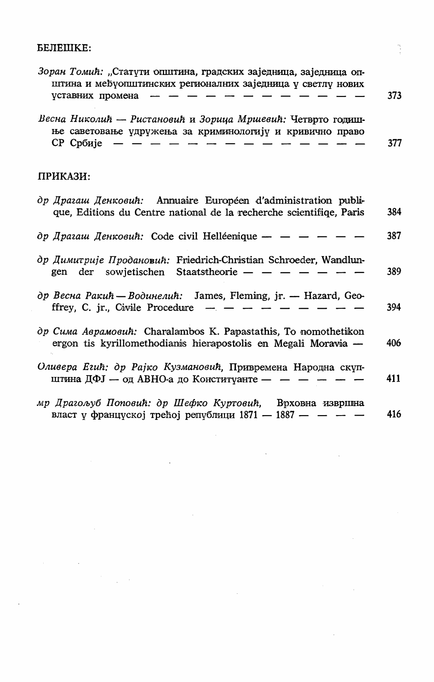#### БЕЛЕШКЕ:

| Зоран Томић: "Статути општина, градских заједница, заједница оп-<br>штина и међуопштинских регионалних заједница у светлу нових<br>уставних промена          | 373 |
|--------------------------------------------------------------------------------------------------------------------------------------------------------------|-----|
| Весна Николић — Ристановић и Зорица Мршевић: Четврто годиш-<br>ње саветовање удружења за криминологију и кривично право<br>СР Србије                         | 377 |
| ПРИКАЗИ:                                                                                                                                                     |     |
| $\partial p$ <i>Il pazauu Il entrosuh</i> : Annuaire Européen d'administration publi-<br>que, Editions du Centre national de la recherche scientifiqe, Paris | 384 |

др Драгаш Денковић: Code civil Helléenique — — — — — — 387

- др Димитрије Продановић: Friedrich-Christian Schroeder, Wandlungen der sowietischen Staatstheorie — — — — — —  $-$ 389
- др Весна Ракић Водинелић: James, Fleming, jr. Hazard, Geoffrey, C. jr., Civile Procedure  $-$ 394
- др Сима Аврамовић: Charalambos K. Papastathis, To nomothetikon ergon tis kyrillomethodianis hierapostolis en Megali Moravia — 406
- Оливера Егић: др Рајко Кузмановић, Привремена Народна скупштина ДФЈ — од АВНО-а до Конституанте —  $-$  —  $-$  411
- мр Драгољуб Поповић: др Шефко Куртовић, Врховна извршна власт у француској трећој републици  $1871 - 1887 - - -$ 416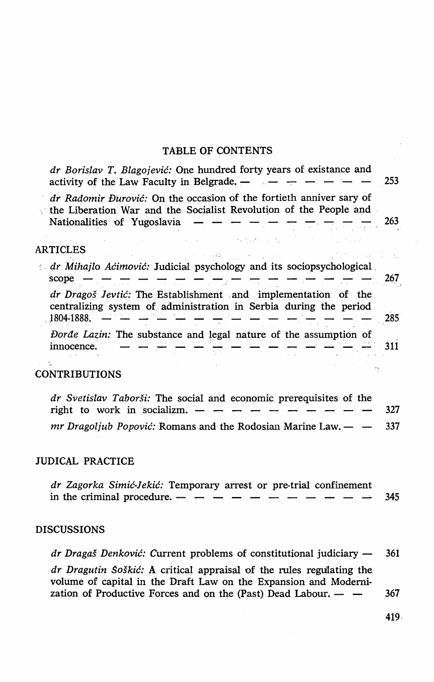#### TABLE OF CONTENTS

| dr Borislav T. Blagojević: One hundred forty years of existance and<br>activity of the Law Faculty in Belgrade. -                                                       | 253        |
|-------------------------------------------------------------------------------------------------------------------------------------------------------------------------|------------|
| dr Radomir Đurović: On the occasion of the fortieth anniver sary of<br>the Liberation War and the Socialist Revolution of the People and<br>Nationalities of Yugoslavia | 263        |
| ARTICLES                                                                                                                                                                |            |
| Ar Mihajlo Aćimović: Judicial psychology and its sociopsychological<br>scope<br>$- - - -$<br>a <del>ma</del>                                                            | 267        |
| dr Dragoš Jevtić: The Establishment and implementation of the<br>centralizing system of administration in Serbia during the period<br>.1804-1888.                       | 285        |
| Dorde Lazin: The substance and legal nature of the assumption of<br>innocence.                                                                                          | 311        |
| CONTRIBUTIONS                                                                                                                                                           |            |
| dr Svetislav Taborši: The social and economic prerequisites of the<br>right to work in socializm.<br><i>mr Dragoljub Popović:</i> Romans and the Rodosian Marine Law. — | 327<br>337 |
| JUDICAL PRACTICE                                                                                                                                                        |            |
| dr Zagorka Simić-Jekić: Temporary arrest or pre-trial confinement<br>in the criminal procedure. —                                                                       | 345        |
| DISCUSSIONS                                                                                                                                                             |            |

*dr Dragaš Denković:* Current problems of constitutional judiciary — 361 *dr Dragutin šoškić:* A critical appraisal of the rules regulating the volume of capital in the Draft Law on the Expansion and Modernization of Productive Forces and on the (Past) Dead Labour.  $-$  - 367

419